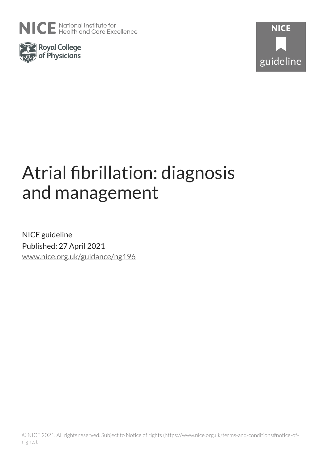





# Atrial fibrillation: diagnosis and management

NICE guideline Published: 27 April 2021 [www.nice.org.uk/guidance/ng196](https://www.nice.org.uk/guidance/ng196)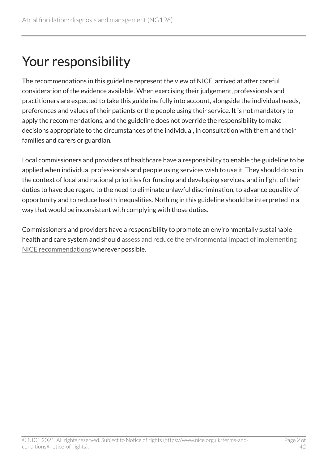# Your responsibility

The recommendations in this guideline represent the view of NICE, arrived at after careful consideration of the evidence available. When exercising their judgement, professionals and practitioners are expected to take this guideline fully into account, alongside the individual needs, preferences and values of their patients or the people using their service. It is not mandatory to apply the recommendations, and the guideline does not override the responsibility to make decisions appropriate to the circumstances of the individual, in consultation with them and their families and carers or guardian.

Local commissioners and providers of healthcare have a responsibility to enable the guideline to be applied when individual professionals and people using services wish to use it. They should do so in the context of local and national priorities for funding and developing services, and in light of their duties to have due regard to the need to eliminate unlawful discrimination, to advance equality of opportunity and to reduce health inequalities. Nothing in this guideline should be interpreted in a way that would be inconsistent with complying with those duties.

Commissioners and providers have a responsibility to promote an environmentally sustainable health and care system and should [assess and reduce the environmental impact of implementing](https://www.nice.org.uk/about/who-we-are/sustainability)  [NICE recommendations](https://www.nice.org.uk/about/who-we-are/sustainability) wherever possible.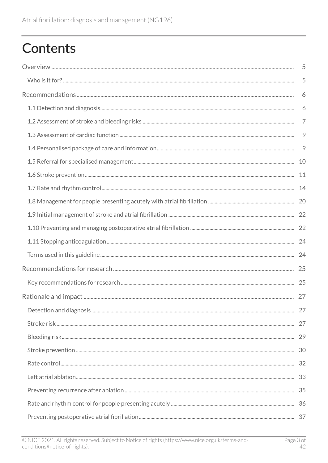# **Contents**

| 5 |
|---|
| 5 |
| 6 |
| 6 |
| 7 |
| 9 |
| 9 |
|   |
|   |
|   |
|   |
|   |
|   |
|   |
|   |
|   |
|   |
|   |
|   |
|   |
|   |
|   |
|   |
|   |
|   |
|   |
|   |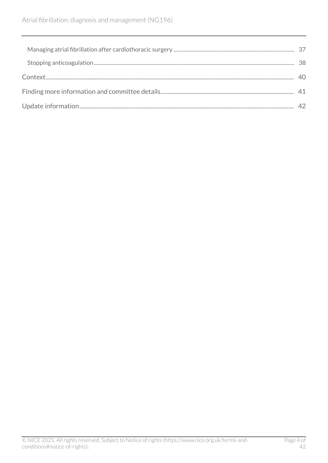| 38. |
|-----|
|     |
|     |
|     |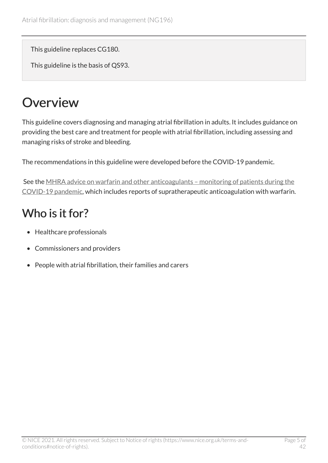This guideline replaces CG180.

This guideline is the basis of QS93.

# <span id="page-4-0"></span>**Overview**

This guideline covers diagnosing and managing atrial fibrillation in adults. It includes guidance on providing the best care and treatment for people with atrial fibrillation, including assessing and managing risks of stroke and bleeding.

The recommendations in this guideline were developed before the COVID-19 pandemic.

See the MHRA advice on warfarin and other anticoagulants - monitoring of patients during the [COVID-19 pandemic,](https://www.gov.uk/government/publications/warfarin-and-other-anticoagulants-monitoring-of-patients-during-the-covid-19-pandemic) which includes reports of supratherapeutic anticoagulation with warfarin.

# <span id="page-4-1"></span>Who is it for?

- Healthcare professionals
- Commissioners and providers
- People with atrial fibrillation, their families and carers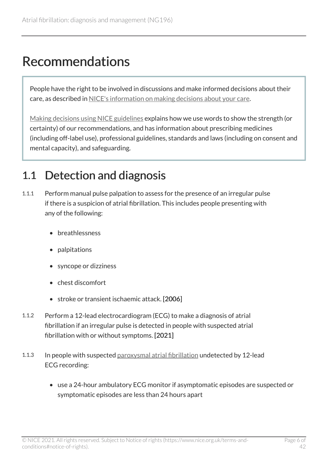# <span id="page-5-0"></span>Recommendations

People have the right to be involved in discussions and make informed decisions about their care, as described in [NICE's information on making decisions about your care](http://www.nice.org.uk/about/nice-communities/public-involvement/your-care).

[Making decisions using NICE guidelines](http://www.nice.org.uk/about/what-we-do/our-programmes/nice-guidance/nice-guidelines/using-NICE-guidelines-to-make-decisions) explains how we use words to show the strength (or certainty) of our recommendations, and has information about prescribing medicines (including off-label use), professional guidelines, standards and laws (including on consent and mental capacity), and safeguarding.

## <span id="page-5-1"></span>1.1 Detection and diagnosis

- 1.1.1 Perform manual pulse palpation to assess for the presence of an irregular pulse if there is a suspicion of atrial fibrillation. This includes people presenting with any of the following:
	- breathlessness
	- palpitations
	- syncope or dizziness
	- chest discomfort
	- stroke or transient ischaemic attack. [2006]
- 1.1.2 Perform a 12-lead electrocardiogram (ECG) to make a diagnosis of atrial fibrillation if an irregular pulse is detected in people with suspected atrial fibrillation with or without symptoms. [2021]
- 1.1.3 In people with suspected [paroxysmal atrial fibrillation](#page-23-2) undetected by 12-lead ECG recording:
	- use a 24-hour ambulatory ECG monitor if asymptomatic episodes are suspected or symptomatic episodes are less than 24 hours apart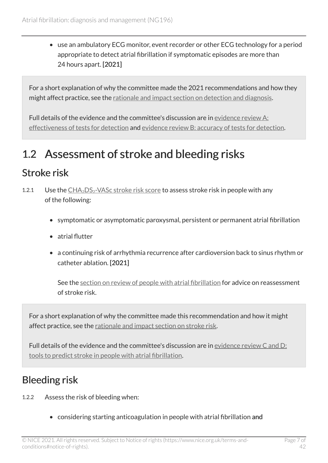• use an ambulatory ECG monitor, event recorder or other ECG technology for a period appropriate to detect atrial fibrillation if symptomatic episodes are more than 24 hours apart. [2021]

For a short explanation of why the committee made the 2021 recommendations and how they might affect practice, see the [rationale and impact section on detection and diagnosis](#page-26-1).

Full details of the evidence and the committee's discussion are in [evidence review](https://www.nice.org.uk/guidance/ng196/evidence/a-effectiveness-of-tests-for-detection-pdf-9081923438) A: [effectiveness of tests for detection](https://www.nice.org.uk/guidance/ng196/evidence/a-effectiveness-of-tests-for-detection-pdf-9081923438) and [evidence review B: accuracy of tests for detection.](https://www.nice.org.uk/guidance/ng196/evidence/b-accuracy-of-tests-for-detection-pdf-9081923439)

# <span id="page-6-0"></span>1.2 Assessment of stroke and bleeding risks

#### <span id="page-6-1"></span>Stroke risk

- 1.[2](https://www.mdcalc.com/cha2ds2-vasc-score-atrial-fibrillation-stroke-risk).1 Use the  $CHA<sub>2</sub>DS<sub>2</sub>-VASC stroke risk score to assess stroke risk in people with any$ of the following:
	- symptomatic or asymptomatic paroxysmal, persistent or permanent atrial fibrillation
	- atrial flutter
	- a continuing risk of arrhythmia recurrence after cardioversion back to sinus rhythm or catheter ablation. [2021]

See the [section on review of people with atrial fibrillation](#page-13-1) for advice on reassessment of stroke risk.

For a short explanation of why the committee made this recommendation and how it might affect practice, see the [rationale and impact section on stroke risk.](#page-26-2)

Full details of the evidence and the committee's discussion are in [evidence review C and D:](https://www.nice.org.uk/guidance/ng196/evidence/c-and-d-tools-to-predict-stroke-in-people-with-atrial-fibrillation-pdf-9081923440)  [tools to predict stroke in people with atrial fibrillation](https://www.nice.org.uk/guidance/ng196/evidence/c-and-d-tools-to-predict-stroke-in-people-with-atrial-fibrillation-pdf-9081923440).

### <span id="page-6-2"></span>Bleeding risk

- 1.2.2 Assess the risk of bleeding when:
	- considering starting anticoagulation in people with atrial fibrillation and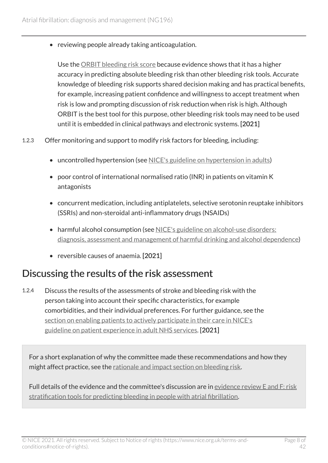• reviewing people already taking anticoagulation.

Use the [ORBIT bleeding risk score](https://www.mdcalc.com/orbit-bleeding-risk-score-atrial-fibrillation) because evidence shows that it has a higher accuracy in predicting absolute bleeding risk than other bleeding risk tools. Accurate knowledge of bleeding risk supports shared decision making and has practical benefits, for example, increasing patient confidence and willingness to accept treatment when risk is low and prompting discussion of risk reduction when risk is high. Although ORBIT is the best tool for this purpose, other bleeding risk tools may need to be used until it is embedded in clinical pathways and electronic systems. [2021]

- 1.2.3 Offer monitoring and support to modify risk factors for bleeding, including:
	- uncontrolled hypertension (see [NICE's guideline on hypertension in adults\)](https://www.nice.org.uk/guidance/ng136)
	- poor control of international normalised ratio (INR) in patients on vitamin K antagonists
	- concurrent medication, including antiplatelets, selective serotonin reuptake inhibitors (SSRIs) and non-steroidal anti-inflammatory drugs (NSAIDs)
	- harmful alcohol consumption (see NICE's guideline on alcohol-use disorders: [diagnosis, assessment and management of harmful drinking and alcohol dependence](https://www.nice.org.uk/guidance/cg115))
	- reversible causes of anaemia. [2021]

#### Discussing the results of the risk assessment

1.2.4 Discuss the results of the assessments of stroke and bleeding risk with the person taking into account their specific characteristics, for example comorbidities, and their individual preferences. For further guidance, see the [section on enabling patients to actively participate in their care in NICE's](https://www.nice.org.uk/guidance/cg138/chapter/1-Guidance#enabling-patients-to-actively-participate-in-their-care) [guideline on patient experience in adult NHS services](https://www.nice.org.uk/guidance/cg138/chapter/1-Guidance#enabling-patients-to-actively-participate-in-their-care). [2021]

For a short explanation of why the committee made these recommendations and how they might affect practice, see the [rationale and impact section on bleeding risk.](#page-28-0)

Full details of the evidence and the committee's discussion are in [evidence review](https://www.nice.org.uk/guidance/ng196/evidence/e-and-f-risk-stratification-tools-for-predicting-bleeding-in-people-with-atrial-fibrillation-pdf-9081923441) E and F: risk [stratification tools for predicting bleeding in people with atrial fibrillation.](https://www.nice.org.uk/guidance/ng196/evidence/e-and-f-risk-stratification-tools-for-predicting-bleeding-in-people-with-atrial-fibrillation-pdf-9081923441)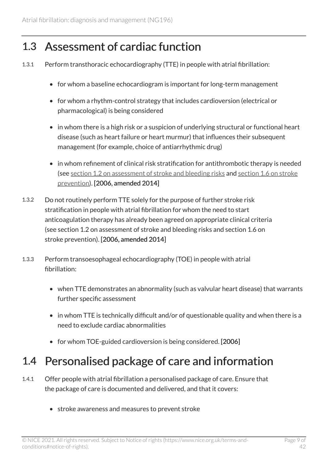### <span id="page-8-0"></span>1.3 Assessment of cardiac function

- 1.3.1 Perform transthoracic echocardiography (TTE) in people with atrial fibrillation:
	- for whom a baseline echocardiogram is important for long-term management
	- for whom a rhythm-control strategy that includes cardioversion (electrical or pharmacological) is being considered
	- in whom there is a high risk or a suspicion of underlying structural or functional heart disease (such as heart failure or heart murmur) that influences their subsequent management (for example, choice of antiarrhythmic drug)
	- in whom refinement of clinical risk stratification for antithrombotic therapy is needed (see [section 1.2 on assessment of stroke and bleeding risks](#page-6-0) and [section 1.6 on stroke](#page-10-0)  [prevention](#page-10-0)). [2006, amended 2014]
- 1.3.2 Do not routinely perform TTE solely for the purpose of further stroke risk stratification in people with atrial fibrillation for whom the need to start anticoagulation therapy has already been agreed on appropriate clinical criteria (see section 1.2 on assessment of stroke and bleeding risks and section 1.6 on stroke prevention). [2006, amended 2014]
- 1.3.3 Perform transoesophageal echocardiography (TOE) in people with atrial fibrillation:
	- when TTE demonstrates an abnormality (such as valvular heart disease) that warrants further specific assessment
	- in whom TTE is technically difficult and/or of questionable quality and when there is a need to exclude cardiac abnormalities
	- for whom TOE-guided cardioversion is being considered. [2006]

## <span id="page-8-1"></span>1.4 Personalised package of care and information

- 1.4.1 Offer people with atrial fibrillation a personalised package of care. Ensure that the package of care is documented and delivered, and that it covers:
	- stroke awareness and measures to prevent stroke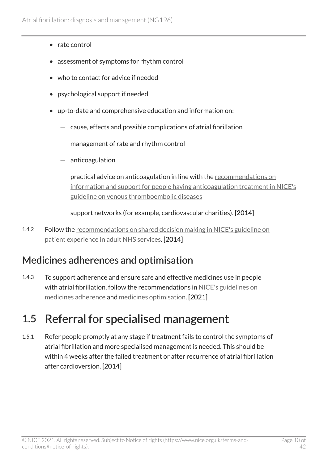- rate control
- assessment of symptoms for rhythm control
- who to contact for advice if needed
- psychological support if needed
- up-to-date and comprehensive education and information on:
	- $-$  cause, effects and possible complications of atrial fibrillation
	- $-$  management of rate and rhythm control
	- anticoagulation
	- practical advice on anticoagulation in line with the recommendations on [information and support for people having anticoagulation treatment in NICE's](https://www.nice.org.uk/guidance/ng158/chapter/Recommendations#information-and-support-for-people-having-anticoagulation-treatment)  [guideline on venous thromboembolic diseases](https://www.nice.org.uk/guidance/ng158/chapter/Recommendations#information-and-support-for-people-having-anticoagulation-treatment)
	- $-$  support networks (for example, cardiovascular charities). [2014]
- 1.4.2 Follow the [recommendations on shared decision making in NICE's guideline on](https://www.nice.org.uk/guidance/cg138/chapter/1-Guidance#shared-decision-making) [patient experience in adult NHS services](https://www.nice.org.uk/guidance/cg138/chapter/1-Guidance#shared-decision-making). [2014]

#### Medicines adherences and optimisation

1.4.3 To support adherence and ensure safe and effective medicines use in people with atrial fibrillation, follow the recommendations in [NICE's guidelines on](https://www.nice.org.uk/guidance/cg76)  [medicines adherence](https://www.nice.org.uk/guidance/cg76) and [medicines optimisation.](https://www.nice.org.uk/guidance/ng5) [2021]

# <span id="page-9-0"></span>1.5 Referral for specialised management

1.5.1 Refer people promptly at any stage if treatment fails to control the symptoms of atrial fibrillation and more specialised management is needed. This should be within 4 weeks after the failed treatment or after recurrence of atrial fibrillation after cardioversion. [2014]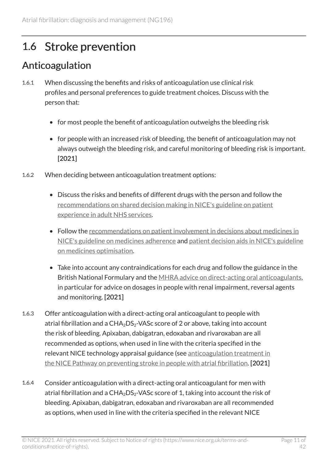## <span id="page-10-0"></span>1.6 Stroke prevention

#### Anticoagulation

- 1.6.1 When discussing the benefits and risks of anticoagulation use clinical risk profiles and personal preferences to guide treatment choices. Discuss with the person that:
	- for most people the benefit of anticoagulation outweighs the bleeding risk
	- for people with an increased risk of bleeding, the benefit of anticoagulation may not always outweigh the bleeding risk, and careful monitoring of bleeding risk is important. [2021]
- 1.6.2 When deciding between anticoagulation treatment options:
	- Discuss the risks and benefits of different drugs with the person and follow the [recommendations on shared decision making in NICE's guideline on patient](https://www.nice.org.uk/guidance/cg138/chapter/1-Guidance#shared-decision-making)  [experience in adult NHS services](https://www.nice.org.uk/guidance/cg138/chapter/1-Guidance#shared-decision-making).
	- Follow the [recommendations on patient involvement in decisions about medicines in](https://www.nice.org.uk/guidance/cg76/chapter/1-Guidance#patient-involvement-in-decisions-about-medicines) [NICE's guideline on medicines adherence](https://www.nice.org.uk/guidance/cg76/chapter/1-Guidance#patient-involvement-in-decisions-about-medicines) and [patient decision aids in NICE's guideline](https://www.nice.org.uk/guidance/ng5/chapter/1-Recommendations#patient-decision-aids-used-in-consultations-involving-medicines)  [on medicines optimisation](https://www.nice.org.uk/guidance/ng5/chapter/1-Recommendations#patient-decision-aids-used-in-consultations-involving-medicines).
	- Take into account any contraindications for each drug and follow the guidance in the British National Formulary and the [MHRA advice on direct-acting oral anticoagulants](https://www.gov.uk/drug-safety-update/direct-acting-oral-anticoagulants-doacs-reminder-of-bleeding-risk-including-availability-of-reversal-agents), in particular for advice on dosages in people with renal impairment, reversal agents and monitoring. [2021]
- 1.6.3 Offer anticoagulation with a direct-acting oral anticoagulant to people with atrial fibrillation and a  $CHA<sub>2</sub>DS<sub>2</sub>$ -VASc score of 2 or above, taking into account the risk of bleeding. Apixaban, dabigatran, edoxaban and rivaroxaban are all recommended as options, when used in line with the criteria specified in the relevant NICE technology appraisal guidance (see anticoagulation treatment in [the NICE Pathway on preventing stroke in people with atrial fibrillation.](http://pathways.nice.org.uk/pathways/atrial-fibrillation/preventing-stroke-in-people-with-atrial-fibrillation%23content=view-node:nodes-anticoagulation) [2021]
- 1.6.4 Consider anticoagulation with a direct-acting oral anticoagulant for men with atrial fibrillation and a  $CHA<sub>2</sub>DS<sub>2</sub>$ -VASc score of 1, taking into account the risk of bleeding. Apixaban, dabigatran, edoxaban and rivaroxaban are all recommended as options, when used in line with the criteria specified in the relevant NICE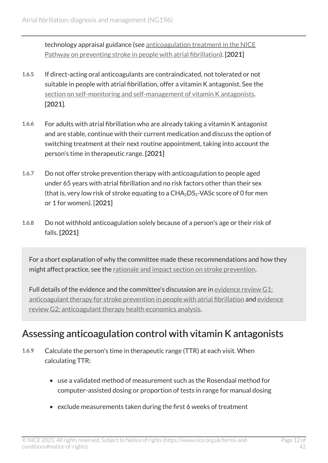technology appraisal guidance (see [anticoagulation treatment in the NICE](http://pathways.nice.org.uk/pathways/atrial-fibrillation/preventing-stroke-in-people-with-atrial-fibrillation%23content=view-node:nodes-anticoagulation) [Pathway on preventing stroke in people with atrial fibrillation\)](http://pathways.nice.org.uk/pathways/atrial-fibrillation/preventing-stroke-in-people-with-atrial-fibrillation%23content=view-node:nodes-anticoagulation). [2021]

- 1.6.5 If direct-acting oral anticoagulants are contraindicated, not tolerated or not suitable in people with atrial fibrillation, offer a vitamin K antagonist. See the [section on self-monitoring and self-management of vitamin K antagonists.](#page-12-0) [2021].
- 1.6.6 For adults with atrial fibrillation who are already taking a vitamin K antagonist and are stable, continue with their current medication and discuss the option of switching treatment at their next routine appointment, taking into account the person's time in therapeutic range. [2021]
- 1.6.7 Do not offer stroke prevention therapy with anticoagulation to people aged under 65 years with atrial fibrillation and no risk factors other than their sex (that is, very low risk of stroke equating to a  $CHA<sub>2</sub>DS<sub>2</sub>$ -VASc score of 0 for men or 1 for women). [2021]
- 1.6.8 Do not withhold anticoagulation solely because of a person's age or their risk of falls. [2021]

For a short explanation of why the committee made these recommendations and how they might affect practice, see the [rationale and impact section on stroke prevention](#page-29-0).

Full details of the evidence and the committee's discussion are in [evidence review](https://www.nice.org.uk/guidance/ng196/evidence/g1-anticoagulant-therapy-for-stroke-prevention-in-people-with-atrial-fibrillation-pdf-9081923442)  $G1$ : [anticoagulant therapy for stroke prevention in people with atrial fibrillation](https://www.nice.org.uk/guidance/ng196/evidence/g1-anticoagulant-therapy-for-stroke-prevention-in-people-with-atrial-fibrillation-pdf-9081923442) and [evidence](https://www.nice.org.uk/guidance/ng196/evidence/g2-anticoagulant-therapy-health-economics-analysis-pdf-9081923443) [review G2: anticoagulant therapy health economics analysis](https://www.nice.org.uk/guidance/ng196/evidence/g2-anticoagulant-therapy-health-economics-analysis-pdf-9081923443).

#### Assessing anticoagulation control with vitamin K antagonists

- 1.6.9 Calculate the person's time in therapeutic range (TTR) at each visit. When calculating TTR:
	- use a validated method of measurement such as the Rosendaal method for computer-assisted dosing or proportion of tests in range for manual dosing
	- exclude measurements taken during the first 6 weeks of treatment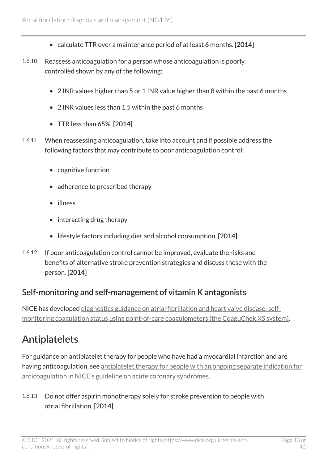- calculate TTR over a maintenance period of at least 6 months. [2014]
- 1.6.10 Reassess anticoagulation for a person whose anticoagulation is poorly controlled shown by any of the following:
	- 2 INR values higher than 5 or 1 INR value higher than 8 within the past 6 months
	- 2 INR values less than 1.5 within the past 6 months
	- TTR less than 65%. [2014]
- 1.6.11 When reassessing anticoagulation, take into account and if possible address the following factors that may contribute to poor anticoagulation control:
	- cognitive function
	- adherence to prescribed therapy
	- illness
	- interacting drug therapy
	- lifestyle factors including diet and alcohol consumption. [2014]
- 1.6.12 If poor anticoagulation control cannot be improved, evaluate the risks and benefits of alternative stroke prevention strategies and discuss these with the person. [2014]

#### <span id="page-12-0"></span>Self-monitoring and self-management of vitamin K antagonists

NICE has developed [diagnostics guidance on atrial fibrillation and heart valve disease: self](https://www.nice.org.uk/guidance/dg14)[monitoring coagulation status using point-of-care coagulometers \(the CoaguChek XS system\)](https://www.nice.org.uk/guidance/dg14).

#### Antiplatelets

For guidance on antiplatelet therapy for people who have had a myocardial infarction and are having anticoagulation, see [antiplatelet therapy for people with an ongoing separate indication for](https://www.nice.org.uk/guidance/ng185/chapter/Recommendations#antiplatelet-therapy-for-people-with-an-ongoing-separate-indication-for-anticoagulation) [anticoagulation in NICE's guideline on acute coronary syndromes.](https://www.nice.org.uk/guidance/ng185/chapter/Recommendations#antiplatelet-therapy-for-people-with-an-ongoing-separate-indication-for-anticoagulation)

#### 1.6.13 Do not offer aspirin monotherapy solely for stroke prevention to people with atrial fibrillation. [2014]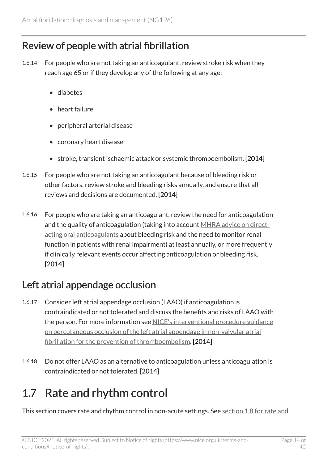#### <span id="page-13-1"></span>Review of people with atrial fibrillation

- 1.6.14 For people who are not taking an anticoagulant, review stroke risk when they reach age 65 or if they develop any of the following at any age:
	- diabetes
	- heart failure
	- peripheral arterial disease
	- coronary heart disease
	- stroke, transient ischaemic attack or systemic thromboembolism. [2014]
- 1.6.15 For people who are not taking an anticoagulant because of bleeding risk or other factors, review stroke and bleeding risks annually, and ensure that all reviews and decisions are documented. [2014]
- 1.6.16 For people who are taking an anticoagulant, review the need for anticoagulation and the quality of anticoagulation (taking into account [MHRA advice on direct](https://www.gov.uk/drug-safety-update/direct-acting-oral-anticoagulants-doacs-reminder-of-bleeding-risk-including-availability-of-reversal-agents)[acting oral anticoagulants](https://www.gov.uk/drug-safety-update/direct-acting-oral-anticoagulants-doacs-reminder-of-bleeding-risk-including-availability-of-reversal-agents) about bleeding risk and the need to monitor renal function in patients with renal impairment) at least annually, or more frequently if clinically relevant events occur affecting anticoagulation or bleeding risk. [2014]

### Left atrial appendage occlusion

- 1.6.17 Consider left atrial appendage occlusion (LAAO) if anticoagulation is contraindicated or not tolerated and discuss the benefits and risks of LAAO with the person. For more information see NICE's interventional procedure guidance [on percutaneous occlusion of the left atrial appendage in non-valvular atrial](https://www.nice.org.uk/guidance/ipg349)  [fibrillation for the prevention of thromboembolism](https://www.nice.org.uk/guidance/ipg349). [2014]
- 1.6.18 Do not offer LAAO as an alternative to anticoagulation unless anticoagulation is contraindicated or not tolerated. [2014]

# <span id="page-13-0"></span>1.7 Rate and rhythm control

This section covers rate and rhythm control in non-acute settings. See section 1.8 for rate and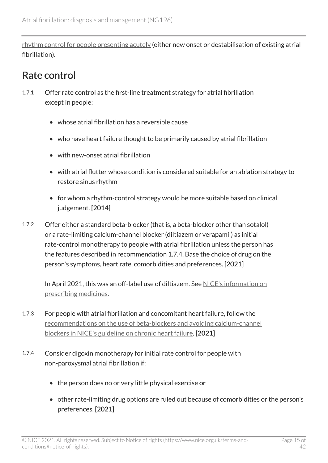[rhythm control for people presenting acutely](#page-19-0) (either new onset or destabilisation of existing atrial fibrillation).

#### <span id="page-14-0"></span>Rate control

- 1.7.1 Offer rate control as the first-line treatment strategy for atrial fibrillation except in people:
	- whose atrial fibrillation has a reversible cause
	- who have heart failure thought to be primarily caused by atrial fibrillation
	- with new-onset atrial fibrillation
	- with atrial flutter whose condition is considered suitable for an ablation strategy to restore sinus rhythm
	- for whom a rhythm-control strategy would be more suitable based on clinical judgement. [2014]
- 1.7.2 Offer either a standard beta-blocker (that is, a beta-blocker other than sotalol) or a rate-limiting calcium-channel blocker (diltiazem or verapamil) as initial rate-control monotherapy to people with atrial fibrillation unless the person has the features described in recommendation 1.7.4. Base the choice of drug on the person's symptoms, heart rate, comorbidities and preferences. [2021]

In April 2021, this was an off-label use of diltiazem. See [NICE's information on](https://www.nice.org.uk/about/what-we-do/our-programmes/nice-guidance/nice-guidelines/making-decisions-using-nice-guidelines#prescribing-medicines)  [prescribing medicines](https://www.nice.org.uk/about/what-we-do/our-programmes/nice-guidance/nice-guidelines/making-decisions-using-nice-guidelines#prescribing-medicines).

- 1.7.3 For people with atrial fibrillation and concomitant heart failure, follow the [recommendations on the use of beta-blockers and avoiding calcium-channel](https://www.nice.org.uk/guidance/ng106/chapter/Recommendations#treating-heart-failure-with-reduced-ejection-fraction) [blockers in NICE's guideline on chronic heart failure](https://www.nice.org.uk/guidance/ng106/chapter/Recommendations#treating-heart-failure-with-reduced-ejection-fraction). [2021]
- 1.7.4 Consider digoxin monotherapy for initial rate control for people with non-paroxysmal atrial fibrillation if:
	- the person does no or very little physical exercise or
	- other rate-limiting drug options are ruled out because of comorbidities or the person's preferences. [2021]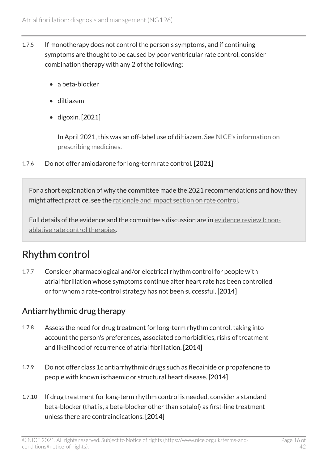- 1.7.5 If monotherapy does not control the person's symptoms, and if continuing symptoms are thought to be caused by poor ventricular rate control, consider combination therapy with any 2 of the following:
	- a beta-blocker
	- diltiazem
	- digoxin. [2021]

In April 2021, this was an off-label use of diltiazem. See [NICE's information on](https://www.nice.org.uk/about/what-we-do/our-programmes/nice-guidance/nice-guidelines/making-decisions-using-nice-guidelines#prescribing-medicines)  [prescribing medicines.](https://www.nice.org.uk/about/what-we-do/our-programmes/nice-guidance/nice-guidelines/making-decisions-using-nice-guidelines#prescribing-medicines)

1.7.6 Do not offer amiodarone for long-term rate control. [2021]

For a short explanation of why the committee made the 2021 recommendations and how they might affect practice, see the [rationale and impact section on rate control](#page-31-0).

Full details of the evidence and the committee's discussion are in [evidence review](https://www.nice.org.uk/guidance/ng196/evidence/i-nonablative-rate-control-therapies-pdf-9081923445) I: non[ablative rate control therapies](https://www.nice.org.uk/guidance/ng196/evidence/i-nonablative-rate-control-therapies-pdf-9081923445).

### Rhythm control

1.7.7 Consider pharmacological and/or electrical rhythm control for people with atrial fibrillation whose symptoms continue after heart rate has been controlled or for whom a rate-control strategy has not been successful. [2014]

#### Antiarrhythmic drug therapy

- 1.7.8 Assess the need for drug treatment for long-term rhythm control, taking into account the person's preferences, associated comorbidities, risks of treatment and likelihood of recurrence of atrial fibrillation. [2014]
- 1.7.9 Do not offer class 1c antiarrhythmic drugs such as flecainide or propafenone to people with known ischaemic or structural heart disease. [2014]
- 1.7.10 If drug treatment for long-term rhythm control is needed, consider a standard beta-blocker (that is, a beta-blocker other than sotalol) as first-line treatment unless there are contraindications. [2014]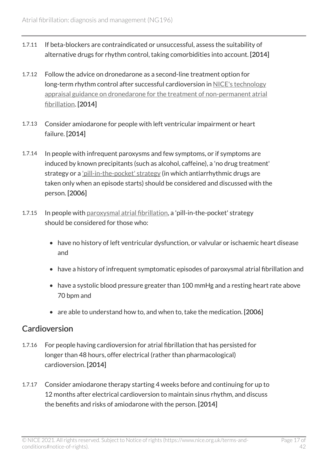- 1.7.11 If beta-blockers are contraindicated or unsuccessful, assess the suitability of alternative drugs for rhythm control, taking comorbidities into account. [2014]
- 1.7.12 Follow the advice on dronedarone as a second-line treatment option for long-term rhythm control after successful cardioversion in [NICE's technology](https://www.nice.org.uk/guidance/ta197) [appraisal guidance on dronedarone for the treatment of non-permanent atrial](https://www.nice.org.uk/guidance/ta197) [fibrillation.](https://www.nice.org.uk/guidance/ta197) [2014]
- 1.7.13 Consider amiodarone for people with left ventricular impairment or heart failure. [2014]
- 1.7.14 In people with infrequent paroxysms and few symptoms, or if symptoms are induced by known precipitants (such as alcohol, caffeine), a 'no drug treatment' strategy or a ['pill-in-the-pocket' strategy](#page-23-3) (in which antiarrhythmic drugs are taken only when an episode starts) should be considered and discussed with the person. [2006]
- 1.7.15 In people with [paroxysmal atrial fibrillation,](#page-23-2) a 'pill-in-the-pocket' strategy should be considered for those who:
	- have no history of left ventricular dysfunction, or valvular or ischaemic heart disease and
	- have a history of infrequent symptomatic episodes of paroxysmal atrial fibrillation and
	- have a systolic blood pressure greater than 100 mmHg and a resting heart rate above 70 bpm and
	- are able to understand how to, and when to, take the medication. [2006]

#### Cardioversion

- 1.7.16 For people having cardioversion for atrial fibrillation that has persisted for longer than 48 hours, offer electrical (rather than pharmacological) cardioversion. [2014]
- 1.7.17 Consider amiodarone therapy starting 4 weeks before and continuing for up to 12 months after electrical cardioversion to maintain sinus rhythm, and discuss the benefits and risks of amiodarone with the person. [2014]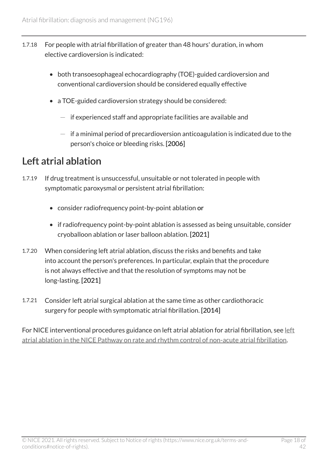- 1.7.18 For people with atrial fibrillation of greater than 48 hours' duration, in whom elective cardioversion is indicated:
	- both transoesophageal echocardiography (TOE)-guided cardioversion and conventional cardioversion should be considered equally effective
	- a TOE-guided cardioversion strategy should be considered:
		- $-$  if experienced staff and appropriate facilities are available and
		- $-$  if a minimal period of precardioversion anticoagulation is indicated due to the person's choice or bleeding risks. [2006]

#### <span id="page-17-0"></span>Left atrial ablation

- 1.7.19 If drug treatment is unsuccessful, unsuitable or not tolerated in people with symptomatic paroxysmal or persistent atrial fibrillation:
	- consider radiofrequency point-by-point ablation or
	- if radiofrequency point-by-point ablation is assessed as being unsuitable, consider cryoballoon ablation or laser balloon ablation. [2021]
- 1.7.20 When considering left atrial ablation, discuss the risks and benefits and take into account the person's preferences. In particular, explain that the procedure is not always effective and that the resolution of symptoms may not be long-lasting. [2021]
- 1.7.21 Consider left atrial surgical ablation at the same time as other cardiothoracic surgery for people with symptomatic atrial fibrillation. [2014]

For NICE interventional procedures guidance on [left](http://pathways.nice.org.uk/pathways/atrial-fibrillation/rate-and-rhythm-control-of-non-acute-atrial-fibrillation%23content=view-node:nodes-left-atrial-ablation) atrial ablation for atrial fibrillation, see left [atrial ablation in the NICE Pathway on rate and rhythm control of non-acute atrial fibrillation](http://pathways.nice.org.uk/pathways/atrial-fibrillation/rate-and-rhythm-control-of-non-acute-atrial-fibrillation%23content=view-node:nodes-left-atrial-ablation).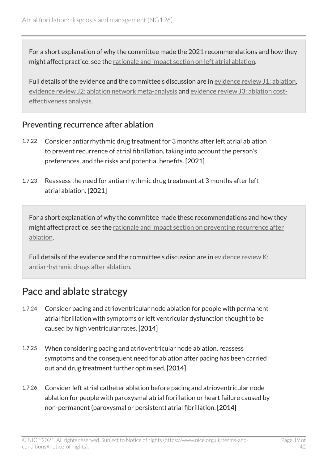For a short explanation of why the committee made the 2021 recommendations and how they might affect practice, see the [rationale and impact section on left atrial ablation](#page-32-0).

Full details of the evidence and the committee's discussion are in [evidence review](https://www.nice.org.uk/guidance/ng196/evidence/j1-ablation-pdf-326949243732) J1: ablation, [evidence review J2: ablation network meta-analysis](https://www.nice.org.uk/guidance/ng196/evidence/j2-ablation-network-metaanalysis-pdf-326949243733) and [evidence review J3: ablation cost](https://www.nice.org.uk/guidance/ng196/evidence/j3-ablation-health-economics-analysis-pdf-326949243734)[effectiveness analysis](https://www.nice.org.uk/guidance/ng196/evidence/j3-ablation-health-economics-analysis-pdf-326949243734).

#### <span id="page-18-0"></span>Preventing recurrence after ablation

- 1.7.22 Consider antiarrhythmic drug treatment for 3 months after left atrial ablation to prevent recurrence of atrial fibrillation, taking into account the person's preferences, and the risks and potential benefits. [2021]
- 1.7.23 Reassess the need for antiarrhythmic drug treatment at 3 months after left atrial ablation. [2021]

For a short explanation of why the committee made these recommendations and how they might affect practice, see the [rationale and impact section on preventing recurrence after](#page-34-0) [ablation.](#page-34-0)

Full details of the evidence and the committee's discussion are in [evidence review](https://www.nice.org.uk/guidance/ng196/evidence/k-antiarrhythmic-drugs-after-ablation-pdf-326949243735) K: [antiarrhythmic drugs after ablation](https://www.nice.org.uk/guidance/ng196/evidence/k-antiarrhythmic-drugs-after-ablation-pdf-326949243735).

#### Pace and ablate strategy

- 1.7.24 Consider pacing and atrioventricular node ablation for people with permanent atrial fibrillation with symptoms or left ventricular dysfunction thought to be caused by high ventricular rates. [2014]
- 1.7.25 When considering pacing and atrioventricular node ablation, reassess symptoms and the consequent need for ablation after pacing has been carried out and drug treatment further optimised. [2014]
- 1.7.26 Consider left atrial catheter ablation before pacing and atrioventricular node ablation for people with paroxysmal atrial fibrillation or heart failure caused by non-permanent (paroxysmal or persistent) atrial fibrillation. [2014]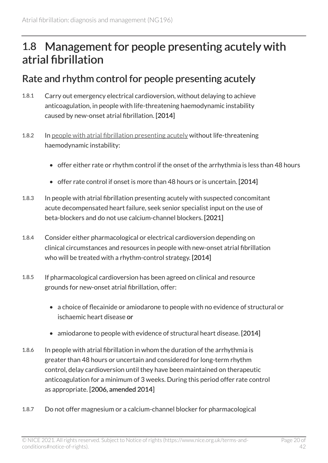## <span id="page-19-0"></span>1.8 Management for people presenting acutely with atrial fibrillation

#### <span id="page-19-1"></span>Rate and rhythm control for people presenting acutely

- 1.8.1 Carry out emergency electrical cardioversion, without delaying to achieve anticoagulation, in people with life-threatening haemodynamic instability caused by new-onset atrial fibrillation. [2014]
- 1.8.2 In [people with atrial fibrillation presenting acutely](#page-23-4) without life-threatening haemodynamic instability:
	- offer either rate or rhythm control if the onset of the arrhythmia is less than 48 hours
	- offer rate control if onset is more than 48 hours or is uncertain. [2014]
- 1.8.3 In people with atrial fibrillation presenting acutely with suspected concomitant acute decompensated heart failure, seek senior specialist input on the use of beta-blockers and do not use calcium-channel blockers. [2021]
- 1.8.4 Consider either pharmacological or electrical cardioversion depending on clinical circumstances and resources in people with new-onset atrial fibrillation who will be treated with a rhythm-control strategy. [2014]
- 1.8.5 If pharmacological cardioversion has been agreed on clinical and resource grounds for new-onset atrial fibrillation, offer:
	- a choice of flecainide or amiodarone to people with no evidence of structural or ischaemic heart disease or
	- amiodarone to people with evidence of structural heart disease. [2014]
- 1.8.6 In people with atrial fibrillation in whom the duration of the arrhythmia is greater than 48 hours or uncertain and considered for long-term rhythm control, delay cardioversion until they have been maintained on therapeutic anticoagulation for a minimum of 3 weeks. During this period offer rate control as appropriate. [2006, amended 2014]
- 1.8.7 Do not offer magnesium or a calcium-channel blocker for pharmacological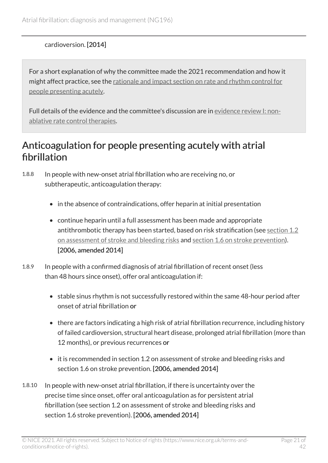#### cardioversion. [2014]

For a short explanation of why the committee made the 2021 recommendation and how it might affect practice, see the [rationale and impact section on rate and rhythm control for](#page-35-0)  [people presenting acutely.](#page-35-0)

Full details of the evidence and the committee's discussion are in [evidence review](https://www.nice.org.uk/guidance/ng196/evidence/i-nonablative-rate-control-therapies-pdf-9081923445) I: non[ablative rate control therapies](https://www.nice.org.uk/guidance/ng196/evidence/i-nonablative-rate-control-therapies-pdf-9081923445).

#### Anticoagulation for people presenting acutely with atrial fibrillation

1.8.8 In people with new-onset atrial fibrillation who are receiving no, or subtherapeutic, anticoagulation therapy:

- in the absence of contraindications, offer heparin at initial presentation
- continue heparin until a full assessment has been made and appropriate antithrombotic therapy has been started, based on risk stratification (see [section 1.2](#page-6-0)  [on assessment of stroke and bleeding risks](#page-6-0) and [section 1.6 on stroke prevention](#page-10-0)). [2006, amended 2014]
- 1.8.9 In people with a confirmed diagnosis of atrial fibrillation of recent onset (less than 48 hours since onset), offer oral anticoagulation if:
	- stable sinus rhythm is not successfully restored within the same 48-hour period after onset of atrial fibrillation or
	- there are factors indicating a high risk of atrial fibrillation recurrence, including history of failed cardioversion, structural heart disease, prolonged atrial fibrillation (more than 12 months), or previous recurrences or
	- it is recommended in section 1.2 on assessment of stroke and bleeding risks and section 1.6 on stroke prevention. [2006, amended 2014]
- 1.8.10 In people with new-onset atrial fibrillation, if there is uncertainty over the precise time since onset, offer oral anticoagulation as for persistent atrial fibrillation (see section 1.2 on assessment of stroke and bleeding risks and section 1.6 stroke prevention). [2006, amended 2014]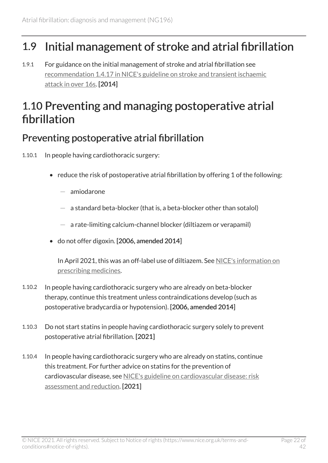## <span id="page-21-0"></span>1.9 Initial management of stroke and atrial fibrillation

1.9.1 For guidance on the initial management of stroke and atrial fibrillation see [recommendation 1.4.17 in NICE's guideline on stroke and transient ischaemic](https://www.nice.org.uk/guidance/ng128/chapter/Recommendations#anticoagulation-treatment-for-other-comorbidities)  [attack in over 16s.](https://www.nice.org.uk/guidance/ng128/chapter/Recommendations#anticoagulation-treatment-for-other-comorbidities) [2014]

## <span id="page-21-1"></span>1.10 Preventing and managing postoperative atrial fibrillation

#### <span id="page-21-2"></span>Preventing postoperative atrial fibrillation

- 1.10.1 In people having cardiothoracic surgery:
	- reduce the risk of postoperative atrial fibrillation by offering 1 of the following:
		- amiodarone
		- $-$  a standard beta-blocker (that is, a beta-blocker other than sotalol)
		- $-$  a rate-limiting calcium-channel blocker (diltiazem or verapamil)
	- do not offer digoxin. [2006, amended 2014]

In April 2021, this was an off-label use of diltiazem. See [NICE's information on](https://www.nice.org.uk/about/what-we-do/our-programmes/nice-guidance/nice-guidelines/making-decisions-using-nice-guidelines#prescribing-medicines)  [prescribing medicines.](https://www.nice.org.uk/about/what-we-do/our-programmes/nice-guidance/nice-guidelines/making-decisions-using-nice-guidelines#prescribing-medicines)

- 1.10.2 In people having cardiothoracic surgery who are already on beta-blocker therapy, continue this treatment unless contraindications develop (such as postoperative bradycardia or hypotension). [2006, amended 2014]
- 1.10.3 Do not start statins in people having cardiothoracic surgery solely to prevent postoperative atrial fibrillation. [2021]
- 1.10.4 In people having cardiothoracic surgery who are already on statins, continue this treatment. For further advice on statins for the prevention of cardiovascular disease, see [NICE's guideline on cardiovascular disease: risk](https://www.nice.org.uk/guidance/cg181)  [assessment and reduction.](https://www.nice.org.uk/guidance/cg181) [2021]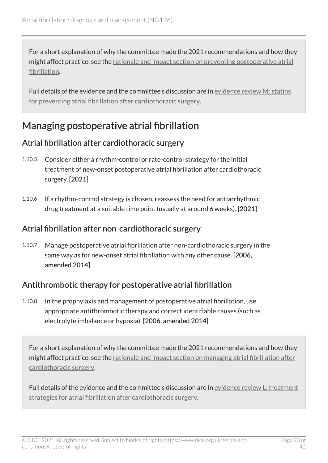For a short explanation of why the committee made the 2021 recommendations and how they might affect practice, see the [rationale and impact section on preventing postoperative atrial](#page-36-0)  [fibrillation](#page-36-0).

Full details of the evidence and the committee's discussion are in [evidence review](https://www.nice.org.uk/guidance/ng196/evidence/m-statins-for-preventing-atrial-fibrillation-after-cardiothoracic-surgery-pdf-326949243737) M: statins [for preventing atrial fibrillation after cardiothoracic surgery.](https://www.nice.org.uk/guidance/ng196/evidence/m-statins-for-preventing-atrial-fibrillation-after-cardiothoracic-surgery-pdf-326949243737)

#### Managing postoperative atrial fibrillation

#### <span id="page-22-0"></span>Atrial fibrillation after cardiothoracic surgery

- 1.10.5 Consider either a rhythm-control or rate-control strategy for the initial treatment of new-onset postoperative atrial fibrillation after cardiothoracic surgery. [2021]
- 1.10.6 If a rhythm-control strategy is chosen, reassess the need for antiarrhythmic drug treatment at a suitable time point (usually at around 6 weeks). [2021]

#### Atrial fibrillation after non-cardiothoracic surgery

1.10.7 Manage postoperative atrial fibrillation after non-cardiothoracic surgery in the same way as for new-onset atrial fibrillation with any other cause. [2006, amended 2014]

#### Antithrombotic therapy for postoperative atrial fibrillation

1.10.8 In the prophylaxis and management of postoperative atrial fibrillation, use appropriate antithrombotic therapy and correct identifiable causes (such as electrolyte imbalance or hypoxia). [2006, amended 2014]

For a short explanation of why the committee made the 2021 recommendations and how they might affect practice, see the [rationale and impact section on managing atrial fibrillation after](#page-36-1)  [cardiothoracic surgery.](#page-36-1)

Full details of the evidence and the committee's discussion are in [evidence review](https://www.nice.org.uk/guidance/ng196/evidence/l-treatment-strategies-for-atrial-fibrillation-after-cardiothoracic-surgery-pdf-326949243736) L: treatment [strategies for atrial fibrillation after cardiothoracic surgery.](https://www.nice.org.uk/guidance/ng196/evidence/l-treatment-strategies-for-atrial-fibrillation-after-cardiothoracic-surgery-pdf-326949243736)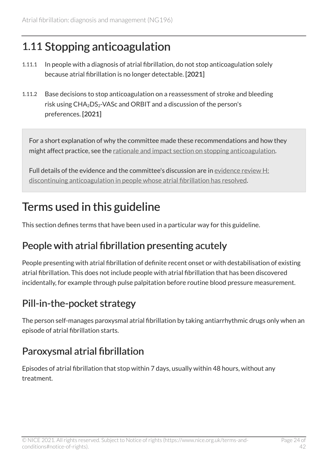# <span id="page-23-0"></span>1.11 Stopping anticoagulation

- 1.11.1 In people with a diagnosis of atrial fibrillation, do not stop anticoagulation solely because atrial fibrillation is no longer detectable. [2021]
- 1.11.2 Base decisions to stop anticoagulation on a reassessment of stroke and bleeding risk using  $CHA<sub>2</sub>DS<sub>2</sub> - VASC and ORBIT and a discussion of the person's$ preferences. [2021]

For a short explanation of why the committee made these recommendations and how they might affect practice, see the [rationale and impact section on stopping anticoagulation.](#page-37-0)

Full details of the evidence and the committee's discussion are in [evidence review](https://www.nice.org.uk/guidance/ng196/evidence/h-discontinuing-anticoagulation-in-people-whose-atrial-fibrillation-has-resolved-pdf-9081923444) H: [discontinuing anticoagulation in people whose atrial fibrillation has resolved](https://www.nice.org.uk/guidance/ng196/evidence/h-discontinuing-anticoagulation-in-people-whose-atrial-fibrillation-has-resolved-pdf-9081923444).

## <span id="page-23-1"></span>Terms used in this guideline

This section defines terms that have been used in a particular way for this guideline.

#### <span id="page-23-4"></span>People with atrial fibrillation presenting acutely

People presenting with atrial fibrillation of definite recent onset or with destabilisation of existing atrial fibrillation. This does not include people with atrial fibrillation that has been discovered incidentally, for example through pulse palpitation before routine blood pressure measurement.

### <span id="page-23-3"></span>Pill-in-the-pocket strategy

The person self-manages paroxysmal atrial fibrillation by taking antiarrhythmic drugs only when an episode of atrial fibrillation starts.

### <span id="page-23-2"></span>Paroxysmal atrial fibrillation

Episodes of atrial fibrillation that stop within 7 days, usually within 48 hours, without any treatment.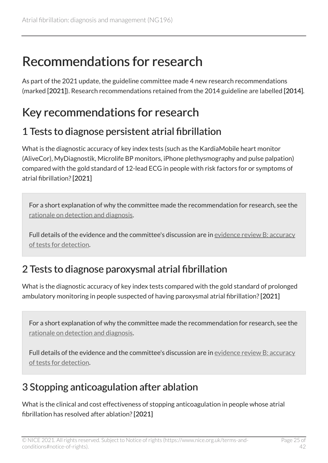# <span id="page-24-0"></span>Recommendations for research

As part of the 2021 update, the guideline committee made 4 new research recommendations (marked [2021]). Research recommendations retained from the 2014 guideline are labelled [2014].

## <span id="page-24-1"></span>Key recommendations for research

#### <span id="page-24-2"></span>1 Tests to diagnose persistent atrial fibrillation

What is the diagnostic accuracy of key index tests (such as the KardiaMobile heart monitor (AliveCor), MyDiagnostik, Microlife BP monitors, iPhone plethysmography and pulse palpation) compared with the gold standard of 12-lead ECG in people with risk factors for or symptoms of atrial fibrillation? [2021]

For a short explanation of why the committee made the recommendation for research, see the [rationale on detection and diagnosis.](#page-26-1)

Full details of the evidence and the committee's discussion are in [evidence review](https://www.nice.org.uk/guidance/ng196/evidence/b-accuracy-of-tests-for-detection-pdf-9081923439) B: accuracy [of tests for detection.](https://www.nice.org.uk/guidance/ng196/evidence/b-accuracy-of-tests-for-detection-pdf-9081923439)

#### <span id="page-24-3"></span>2 Tests to diagnose paroxysmal atrial fibrillation

What is the diagnostic accuracy of key index tests compared with the gold standard of prolonged ambulatory monitoring in people suspected of having paroxysmal atrial fibrillation? [2021]

For a short explanation of why the committee made the recommendation for research, see the [rationale on detection and diagnosis.](#page-26-1)

Full details of the evidence and the committee's discussion are in [evidence review](https://www.nice.org.uk/guidance/ng196/evidence/b-accuracy-of-tests-for-detection-pdf-9081923439) B: accuracy [of tests for detection.](https://www.nice.org.uk/guidance/ng196/evidence/b-accuracy-of-tests-for-detection-pdf-9081923439)

### <span id="page-24-4"></span>3 Stopping anticoagulation after ablation

What is the clinical and cost effectiveness of stopping anticoagulation in people whose atrial fibrillation has resolved after ablation? [2021]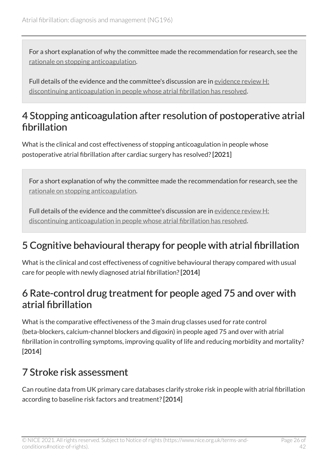For a short explanation of why the committee made the recommendation for research, see the [rationale on stopping anticoagulation](#page-37-0).

Full details of the evidence and the committee's discussion are in [evidence review](https://www.nice.org.uk/guidance/ng196/evidence/h-discontinuing-anticoagulation-in-people-whose-atrial-fibrillation-has-resolved-pdf-9081923444) H: [discontinuing anticoagulation in people whose atrial fibrillation has resolved](https://www.nice.org.uk/guidance/ng196/evidence/h-discontinuing-anticoagulation-in-people-whose-atrial-fibrillation-has-resolved-pdf-9081923444).

#### <span id="page-25-0"></span>4 Stopping anticoagulation after resolution of postoperative atrial fibrillation

What is the clinical and cost effectiveness of stopping anticoagulation in people whose postoperative atrial fibrillation after cardiac surgery has resolved? [2021]

For a short explanation of why the committee made the recommendation for research, see the [rationale on stopping anticoagulation](#page-37-0).

Full details of the evidence and the committee's discussion are in [evidence review](https://www.nice.org.uk/guidance/ng196/evidence/h-discontinuing-anticoagulation-in-people-whose-atrial-fibrillation-has-resolved-pdf-9081923444) H: [discontinuing anticoagulation in people whose atrial fibrillation has resolved](https://www.nice.org.uk/guidance/ng196/evidence/h-discontinuing-anticoagulation-in-people-whose-atrial-fibrillation-has-resolved-pdf-9081923444).

### 5 Cognitive behavioural therapy for people with atrial fibrillation

What is the clinical and cost effectiveness of cognitive behavioural therapy compared with usual care for people with newly diagnosed atrial fibrillation? [2014]

#### 6 Rate-control drug treatment for people aged 75 and over with atrial fibrillation

What is the comparative effectiveness of the 3 main drug classes used for rate control (beta-blockers, calcium-channel blockers and digoxin) in people aged 75 and over with atrial fibrillation in controlling symptoms, improving quality of life and reducing morbidity and mortality? [2014]

#### 7 Stroke risk assessment

Can routine data from UK primary care databases clarify stroke risk in people with atrial fibrillation according to baseline risk factors and treatment? [2014]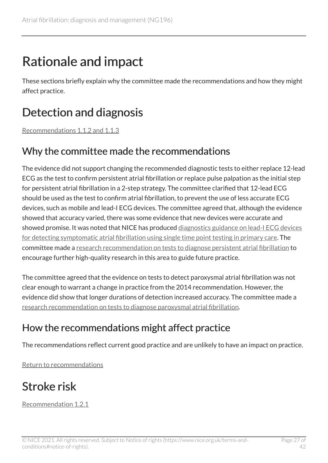# <span id="page-26-0"></span>Rationale and impact

These sections briefly explain why the committee made the recommendations and how they might affect practice.

# <span id="page-26-1"></span>Detection and diagnosis

[Recommendations 1.1.2 and 1.1.3](#page-5-1)

#### Why the committee made the recommendations

The evidence did not support changing the recommended diagnostic tests to either replace 12-lead ECG as the test to confirm persistent atrial fibrillation or replace pulse palpation as the initial step for persistent atrial fibrillation in a 2-step strategy. The committee clarified that 12-lead ECG should be used as the test to confirm atrial fibrillation, to prevent the use of less accurate ECG devices, such as mobile and lead-I ECG devices. The committee agreed that, although the evidence showed that accuracy varied, there was some evidence that new devices were accurate and showed promise. It was noted that NICE has produced [diagnostics guidance on lead-I ECG devices](https://www.nice.org.uk/guidance/dg35) [for detecting symptomatic atrial fibrillation using single time point testing in primary care](https://www.nice.org.uk/guidance/dg35). The committee made a [research recommendation on tests to diagnose persistent atrial fibrillation](#page-24-2) to encourage further high-quality research in this area to guide future practice.

The committee agreed that the evidence on tests to detect paroxysmal atrial fibrillation was not clear enough to warrant a change in practice from the 2014 recommendation. However, the evidence did show that longer durations of detection increased accuracy. The committee made a [research recommendation on tests to diagnose paroxysmal atrial fibrillation.](#page-24-3)

### How the recommendations might affect practice

The recommendations reflect current good practice and are unlikely to have an impact on practice.

[Return to recommendations](#page-5-1)

# <span id="page-26-2"></span>Stroke risk

[Recommendation 1.2.1](#page-6-1)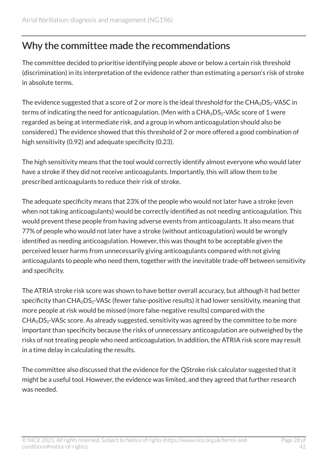#### Why the committee made the recommendations

The committee decided to prioritise identifying people above or below a certain risk threshold (discrimination) in its interpretation of the evidence rather than estimating a person's risk of stroke in absolute terms.

The evidence suggested that a score of 2 or more is the ideal threshold for the  $CHA<sub>2</sub>DS<sub>2</sub>$ -VASC in terms of indicating the need for anticoagulation. (Men with a  $CHA<sub>2</sub>DS<sub>2</sub>-VASc$  score of 1 were regarded as being at intermediate risk, and a group in whom anticoagulation should also be considered.) The evidence showed that this threshold of 2 or more offered a good combination of high sensitivity (0.92) and adequate specificity (0.23).

The high sensitivity means that the tool would correctly identify almost everyone who would later have a stroke if they did not receive anticoagulants. Importantly, this will allow them to be prescribed anticoagulants to reduce their risk of stroke.

The adequate specificity means that 23% of the people who would not later have a stroke (even when not taking anticoagulants) would be correctly identified as not needing anticoagulation. This would prevent these people from having adverse events from anticoagulants. It also means that 77% of people who would not later have a stroke (without anticoagulation) would be wrongly identified as needing anticoagulation. However, this was thought to be acceptable given the perceived lesser harms from unnecessarily giving anticoagulants compared with not giving anticoagulants to people who need them, together with the inevitable trade-off between sensitivity and specificity.

The ATRIA stroke risk score was shown to have better overall accuracy, but although it had better specificity than  $CHA<sub>2</sub>DS<sub>2</sub>-VASC$  (fewer false-positive results) it had lower sensitivity, meaning that more people at risk would be missed (more false-negative results) compared with the  $CHA<sub>2</sub>DS<sub>2</sub>-VASc score.$  As already suggested, sensitivity was agreed by the committee to be more important than specificity because the risks of unnecessary anticoagulation are outweighed by the risks of not treating people who need anticoagulation. In addition, the ATRIA risk score may result in a time delay in calculating the results.

The committee also discussed that the evidence for the QStroke risk calculator suggested that it might be a useful tool. However, the evidence was limited, and they agreed that further research was needed.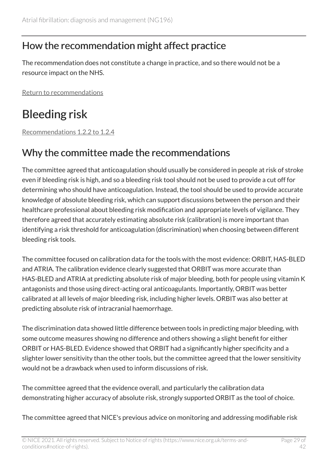#### How the recommendation might affect practice

The recommendation does not constitute a change in practice, and so there would not be a resource impact on the NHS.

[Return to recommendations](#page-6-1)

# <span id="page-28-0"></span>Bleeding risk

[Recommendations 1.2.2 to 1.2.4](#page-6-2) 

#### Why the committee made the recommendations

The committee agreed that anticoagulation should usually be considered in people at risk of stroke even if bleeding risk is high, and so a bleeding risk tool should not be used to provide a cut off for determining who should have anticoagulation. Instead, the tool should be used to provide accurate knowledge of absolute bleeding risk, which can support discussions between the person and their healthcare professional about bleeding risk modification and appropriate levels of vigilance. They therefore agreed that accurately estimating absolute risk (calibration) is more important than identifying a risk threshold for anticoagulation (discrimination) when choosing between different bleeding risk tools.

The committee focused on calibration data for the tools with the most evidence: ORBIT, HAS-BLED and ATRIA. The calibration evidence clearly suggested that ORBIT was more accurate than HAS-BLED and ATRIA at predicting absolute risk of major bleeding, both for people using vitamin K antagonists and those using direct-acting oral anticoagulants. Importantly, ORBIT was better calibrated at all levels of major bleeding risk, including higher levels. ORBIT was also better at predicting absolute risk of intracranial haemorrhage.

The discrimination data showed little difference between tools in predicting major bleeding, with some outcome measures showing no difference and others showing a slight benefit for either ORBIT or HAS-BLED. Evidence showed that ORBIT had a significantly higher specificity and a slighter lower sensitivity than the other tools, but the committee agreed that the lower sensitivity would not be a drawback when used to inform discussions of risk.

The committee agreed that the evidence overall, and particularly the calibration data demonstrating higher accuracy of absolute risk, strongly supported ORBIT as the tool of choice.

The committee agreed that NICE's previous advice on monitoring and addressing modifiable risk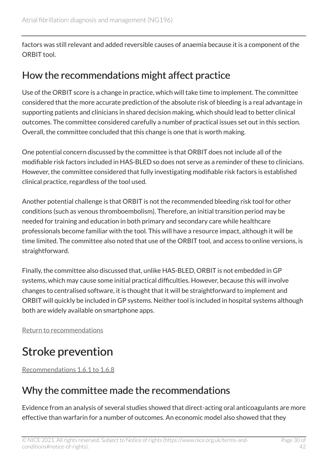factors was still relevant and added reversible causes of anaemia because it is a component of the ORBIT tool.

#### How the recommendations might affect practice

Use of the ORBIT score is a change in practice, which will take time to implement. The committee considered that the more accurate prediction of the absolute risk of bleeding is a real advantage in supporting patients and clinicians in shared decision making, which should lead to better clinical outcomes. The committee considered carefully a number of practical issues set out in this section. Overall, the committee concluded that this change is one that is worth making.

One potential concern discussed by the committee is that ORBIT does not include all of the modifiable risk factors included in HAS-BLED so does not serve as a reminder of these to clinicians. However, the committee considered that fully investigating modifiable risk factors is established clinical practice, regardless of the tool used.

Another potential challenge is that ORBIT is not the recommended bleeding risk tool for other conditions (such as venous thromboembolism). Therefore, an initial transition period may be needed for training and education in both primary and secondary care while healthcare professionals become familiar with the tool. This will have a resource impact, although it will be time limited. The committee also noted that use of the ORBIT tool, and access to online versions, is straightforward.

Finally, the committee also discussed that, unlike HAS-BLED, ORBIT is not embedded in GP systems, which may cause some initial practical difficulties. However, because this will involve changes to centralised software, it is thought that it will be straightforward to implement and ORBIT will quickly be included in GP systems. Neither tool is included in hospital systems although both are widely available on smartphone apps.

[Return to recommendations](#page-6-2)

# <span id="page-29-0"></span>Stroke prevention

[Recommendations 1.6.1 to 1.6.8](#page-10-0) 

### Why the committee made the recommendations

Evidence from an analysis of several studies showed that direct-acting oral anticoagulants are more effective than warfarin for a number of outcomes. An economic model also showed that they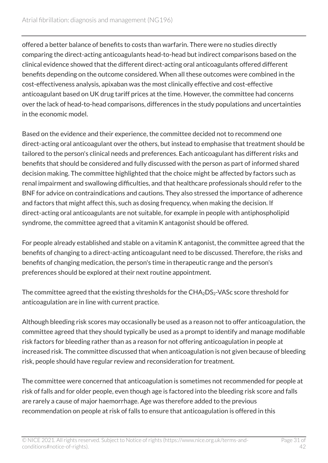offered a better balance of benefits to costs than warfarin. There were no studies directly comparing the direct-acting anticoagulants head-to-head but indirect comparisons based on the clinical evidence showed that the different direct-acting oral anticoagulants offered different benefits depending on the outcome considered. When all these outcomes were combined in the cost-effectiveness analysis, apixaban was the most clinically effective and cost-effective anticoagulant based on UK drug tariff prices at the time. However, the committee had concerns over the lack of head-to-head comparisons, differences in the study populations and uncertainties in the economic model.

Based on the evidence and their experience, the committee decided not to recommend one direct-acting oral anticoagulant over the others, but instead to emphasise that treatment should be tailored to the person's clinical needs and preferences. Each anticoagulant has different risks and benefits that should be considered and fully discussed with the person as part of informed shared decision making. The committee highlighted that the choice might be affected by factors such as renal impairment and swallowing difficulties, and that healthcare professionals should refer to the BNF for advice on contraindications and cautions. They also stressed the importance of adherence and factors that might affect this, such as dosing frequency, when making the decision. If direct-acting oral anticoagulants are not suitable, for example in people with antiphospholipid syndrome, the committee agreed that a vitamin K antagonist should be offered.

For people already established and stable on a vitamin K antagonist, the committee agreed that the benefits of changing to a direct-acting anticoagulant need to be discussed. Therefore, the risks and benefits of changing medication, the person's time in therapeutic range and the person's preferences should be explored at their next routine appointment.

The committee agreed that the existing thresholds for the  $CHA<sub>2</sub>DS<sub>2</sub>$ -VASc score threshold for anticoagulation are in line with current practice.

Although bleeding risk scores may occasionally be used as a reason not to offer anticoagulation, the committee agreed that they should typically be used as a prompt to identify and manage modifiable risk factors for bleeding rather than as a reason for not offering anticoagulation in people at increased risk. The committee discussed that when anticoagulation is not given because of bleeding risk, people should have regular review and reconsideration for treatment.

The committee were concerned that anticoagulation is sometimes not recommended for people at risk of falls and for older people, even though age is factored into the bleeding risk score and falls are rarely a cause of major haemorrhage. Age was therefore added to the previous recommendation on people at risk of falls to ensure that anticoagulation is offered in this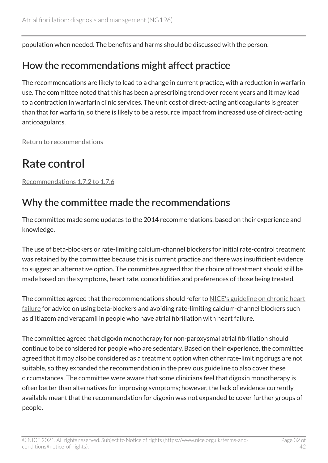population when needed. The benefits and harms should be discussed with the person.

#### How the recommendations might affect practice

The recommendations are likely to lead to a change in current practice, with a reduction in warfarin use. The committee noted that this has been a prescribing trend over recent years and it may lead to a contraction in warfarin clinic services. The unit cost of direct-acting anticoagulants is greater than that for warfarin, so there is likely to be a resource impact from increased use of direct-acting anticoagulants.

[Return to recommendations](#page-10-0)

# <span id="page-31-0"></span>Rate control

[Recommendations 1.7.2 to 1.7.6](#page-14-0) 

### Why the committee made the recommendations

The committee made some updates to the 2014 recommendations, based on their experience and knowledge.

The use of beta-blockers or rate-limiting calcium-channel blockers for initial rate-control treatment was retained by the committee because this is current practice and there was insufficient evidence to suggest an alternative option. The committee agreed that the choice of treatment should still be made based on the symptoms, heart rate, comorbidities and preferences of those being treated.

The committee agreed that the recommendations should refer to [NICE's guideline on chronic heart](https://www.nice.org.uk/guidance/ng106) [failure](https://www.nice.org.uk/guidance/ng106) for advice on using beta-blockers and avoiding rate-limiting calcium-channel blockers such as diltiazem and verapamil in people who have atrial fibrillation with heart failure.

The committee agreed that digoxin monotherapy for non-paroxysmal atrial fibrillation should continue to be considered for people who are sedentary. Based on their experience, the committee agreed that it may also be considered as a treatment option when other rate-limiting drugs are not suitable, so they expanded the recommendation in the previous guideline to also cover these circumstances. The committee were aware that some clinicians feel that digoxin monotherapy is often better than alternatives for improving symptoms; however, the lack of evidence currently available meant that the recommendation for digoxin was not expanded to cover further groups of people.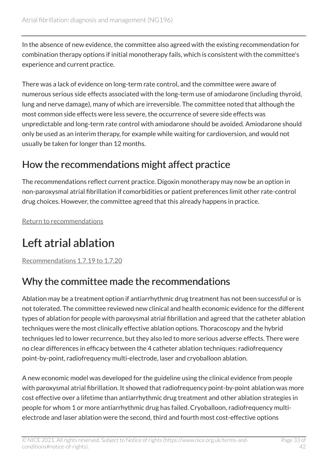In the absence of new evidence, the committee also agreed with the existing recommendation for combination therapy options if initial monotherapy fails, which is consistent with the committee's experience and current practice.

There was a lack of evidence on long-term rate control, and the committee were aware of numerous serious side effects associated with the long-term use of amiodarone (including thyroid, lung and nerve damage), many of which are irreversible. The committee noted that although the most common side effects were less severe, the occurrence of severe side effects was unpredictable and long-term rate control with amiodarone should be avoided. Amiodarone should only be used as an interim therapy, for example while waiting for cardioversion, and would not usually be taken for longer than 12 months.

### How the recommendations might affect practice

The recommendations reflect current practice. Digoxin monotherapy may now be an option in non-paroxysmal atrial fibrillation if comorbidities or patient preferences limit other rate-control drug choices. However, the committee agreed that this already happens in practice.

[Return to recommendations](#page-14-0)

# <span id="page-32-0"></span>Left atrial ablation

[Recommendations 1.7.19 to 1.7.20](#page-17-0) 

### Why the committee made the recommendations

Ablation may be a treatment option if antiarrhythmic drug treatment has not been successful or is not tolerated. The committee reviewed new clinical and health economic evidence for the different types of ablation for people with paroxysmal atrial fibrillation and agreed that the catheter ablation techniques were the most clinically effective ablation options. Thoracoscopy and the hybrid techniques led to lower recurrence, but they also led to more serious adverse effects. There were no clear differences in efficacy between the 4 catheter ablation techniques: radiofrequency point-by-point, radiofrequency multi-electrode, laser and cryoballoon ablation.

A new economic model was developed for the guideline using the clinical evidence from people with paroxysmal atrial fibrillation. It showed that radiofrequency point-by-point ablation was more cost effective over a lifetime than antiarrhythmic drug treatment and other ablation strategies in people for whom 1 or more antiarrhythmic drug has failed. Cryoballoon, radiofrequency multielectrode and laser ablation were the second, third and fourth most cost-effective options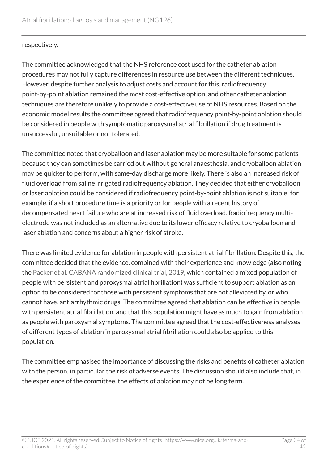#### respectively.

The committee acknowledged that the NHS reference cost used for the catheter ablation procedures may not fully capture differences in resource use between the different techniques. However, despite further analysis to adjust costs and account for this, radiofrequency point-by-point ablation remained the most cost-effective option, and other catheter ablation techniques are therefore unlikely to provide a cost-effective use of NHS resources. Based on the economic model results the committee agreed that radiofrequency point-by-point ablation should be considered in people with symptomatic paroxysmal atrial fibrillation if drug treatment is unsuccessful, unsuitable or not tolerated.

The committee noted that cryoballoon and laser ablation may be more suitable for some patients because they can sometimes be carried out without general anaesthesia, and cryoballoon ablation may be quicker to perform, with same-day discharge more likely. There is also an increased risk of fluid overload from saline irrigated radiofrequency ablation. They decided that either cryoballoon or laser ablation could be considered if radiofrequency point-by-point ablation is not suitable; for example, if a short procedure time is a priority or for people with a recent history of decompensated heart failure who are at increased risk of fluid overload. Radiofrequency multielectrode was not included as an alternative due to its lower efficacy relative to cryoballoon and laser ablation and concerns about a higher risk of stroke.

There was limited evidence for ablation in people with persistent atrial fibrillation. Despite this, the committee decided that the evidence, combined with their experience and knowledge (also noting the [Packer et al. CABANA randomized clinical trial, 2019](https://jamanetwork.com/journals/jama/fullarticle/2728676), which contained a mixed population of people with persistent and paroxysmal atrial fibrillation) was sufficient to support ablation as an option to be considered for those with persistent symptoms that are not alleviated by, or who cannot have, antiarrhythmic drugs. The committee agreed that ablation can be effective in people with persistent atrial fibrillation, and that this population might have as much to gain from ablation as people with paroxysmal symptoms. The committee agreed that the cost-effectiveness analyses of different types of ablation in paroxysmal atrial fibrillation could also be applied to this population.

The committee emphasised the importance of discussing the risks and benefits of catheter ablation with the person, in particular the risk of adverse events. The discussion should also include that, in the experience of the committee, the effects of ablation may not be long term.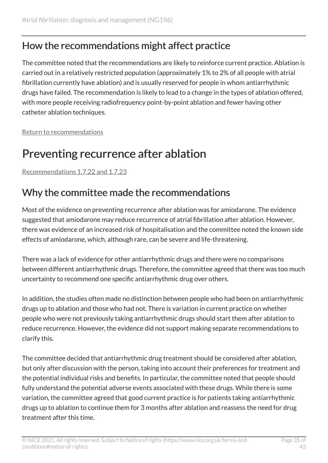#### How the recommendations might affect practice

The committee noted that the recommendations are likely to reinforce current practice. Ablation is carried out in a relatively restricted population (approximately 1% to 2% of all people with atrial fibrillation currently have ablation) and is usually reserved for people in whom antiarrhythmic drugs have failed. The recommendation is likely to lead to a change in the types of ablation offered, with more people receiving radiofrequency point-by-point ablation and fewer having other catheter ablation techniques.

[Return to recommendations](#page-17-0)

## <span id="page-34-0"></span>Preventing recurrence after ablation

[Recommendations 1.7.22 and 1.7.23](#page-18-0)

#### Why the committee made the recommendations

Most of the evidence on preventing recurrence after ablation was for amiodarone. The evidence suggested that amiodarone may reduce recurrence of atrial fibrillation after ablation. However, there was evidence of an increased risk of hospitalisation and the committee noted the known side effects of amiodarone, which, although rare, can be severe and life-threatening.

There was a lack of evidence for other antiarrhythmic drugs and there were no comparisons between different antiarrhythmic drugs. Therefore, the committee agreed that there was too much uncertainty to recommend one specific antiarrhythmic drug over others.

In addition, the studies often made no distinction between people who had been on antiarrhythmic drugs up to ablation and those who had not. There is variation in current practice on whether people who were not previously taking antiarrhythmic drugs should start them after ablation to reduce recurrence. However, the evidence did not support making separate recommendations to clarify this.

The committee decided that antiarrhythmic drug treatment should be considered after ablation, but only after discussion with the person, taking into account their preferences for treatment and the potential individual risks and benefits. In particular, the committee noted that people should fully understand the potential adverse events associated with these drugs. While there is some variation, the committee agreed that good current practice is for patients taking antiarrhythmic drugs up to ablation to continue them for 3 months after ablation and reassess the need for drug treatment after this time.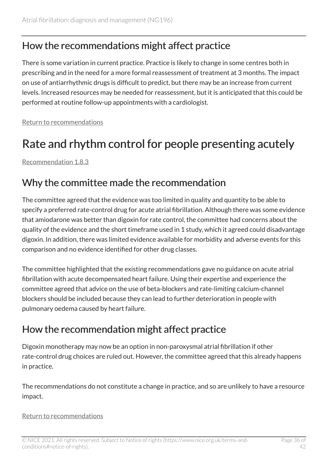#### How the recommendations might affect practice

There is some variation in current practice. Practice is likely to change in some centres both in prescribing and in the need for a more formal reassessment of treatment at 3 months. The impact on use of antiarrhythmic drugs is difficult to predict, but there may be an increase from current levels. Increased resources may be needed for reassessment, but it is anticipated that this could be performed at routine follow-up appointments with a cardiologist.

[Return to recommendations](#page-18-0)

# <span id="page-35-0"></span>Rate and rhythm control for people presenting acutely

[Recommendation 1.8.3](#page-19-1) 

#### Why the committee made the recommendation

The committee agreed that the evidence was too limited in quality and quantity to be able to specify a preferred rate-control drug for acute atrial fibrillation. Although there was some evidence that amiodarone was better than digoxin for rate control, the committee had concerns about the quality of the evidence and the short timeframe used in 1 study, which it agreed could disadvantage digoxin. In addition, there was limited evidence available for morbidity and adverse events for this comparison and no evidence identified for other drug classes.

The committee highlighted that the existing recommendations gave no guidance on acute atrial fibrillation with acute decompensated heart failure. Using their expertise and experience the committee agreed that advice on the use of beta-blockers and rate-limiting calcium-channel blockers should be included because they can lead to further deterioration in people with pulmonary oedema caused by heart failure.

#### How the recommendation might affect practice

Digoxin monotherapy may now be an option in non-paroxysmal atrial fibrillation if other rate-control drug choices are ruled out. However, the committee agreed that this already happens in practice.

The recommendations do not constitute a change in practice, and so are unlikely to have a resource impact.

#### [Return to recommendations](#page-19-1)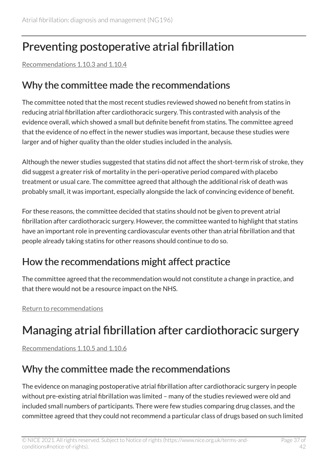# <span id="page-36-0"></span>Preventing postoperative atrial fibrillation

[Recommendations 1.10.3 and 1.10.4](#page-21-2)

#### Why the committee made the recommendations

The committee noted that the most recent studies reviewed showed no benefit from statins in reducing atrial fibrillation after cardiothoracic surgery. This contrasted with analysis of the evidence overall, which showed a small but definite benefit from statins. The committee agreed that the evidence of no effect in the newer studies was important, because these studies were larger and of higher quality than the older studies included in the analysis.

Although the newer studies suggested that statins did not affect the short-term risk of stroke, they did suggest a greater risk of mortality in the peri-operative period compared with placebo treatment or usual care. The committee agreed that although the additional risk of death was probably small, it was important, especially alongside the lack of convincing evidence of benefit.

For these reasons, the committee decided that statins should not be given to prevent atrial fibrillation after cardiothoracic surgery. However, the committee wanted to highlight that statins have an important role in preventing cardiovascular events other than atrial fibrillation and that people already taking statins for other reasons should continue to do so.

### How the recommendations might affect practice

The committee agreed that the recommendation would not constitute a change in practice, and that there would not be a resource impact on the NHS.

[Return to recommendations](#page-21-2)

# <span id="page-36-1"></span>Managing atrial fibrillation after cardiothoracic surgery

[Recommendations 1.10.5 and 1.10.6](#page-22-0)

### Why the committee made the recommendations

The evidence on managing postoperative atrial fibrillation after cardiothoracic surgery in people without pre-existing atrial fibrillation was limited – many of the studies reviewed were old and included small numbers of participants. There were few studies comparing drug classes, and the committee agreed that they could not recommend a particular class of drugs based on such limited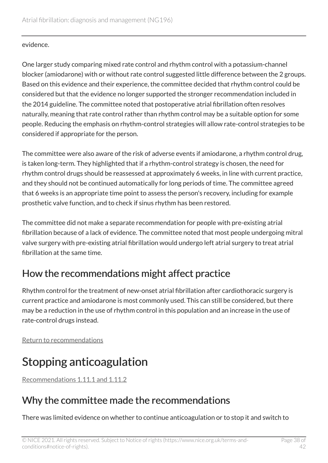#### evidence.

One larger study comparing mixed rate control and rhythm control with a potassium-channel blocker (amiodarone) with or without rate control suggested little difference between the 2 groups. Based on this evidence and their experience, the committee decided that rhythm control could be considered but that the evidence no longer supported the stronger recommendation included in the 2014 guideline. The committee noted that postoperative atrial fibrillation often resolves naturally, meaning that rate control rather than rhythm control may be a suitable option for some people. Reducing the emphasis on rhythm-control strategies will allow rate-control strategies to be considered if appropriate for the person.

The committee were also aware of the risk of adverse events if amiodarone, a rhythm control drug, is taken long-term. They highlighted that if a rhythm-control strategy is chosen, the need for rhythm control drugs should be reassessed at approximately 6 weeks, in line with current practice, and they should not be continued automatically for long periods of time. The committee agreed that 6 weeks is an appropriate time point to assess the person's recovery, including for example prosthetic valve function, and to check if sinus rhythm has been restored.

The committee did not make a separate recommendation for people with pre-existing atrial fibrillation because of a lack of evidence. The committee noted that most people undergoing mitral valve surgery with pre-existing atrial fibrillation would undergo left atrial surgery to treat atrial fibrillation at the same time.

#### How the recommendations might affect practice

Rhythm control for the treatment of new-onset atrial fibrillation after cardiothoracic surgery is current practice and amiodarone is most commonly used. This can still be considered, but there may be a reduction in the use of rhythm control in this population and an increase in the use of rate-control drugs instead.

[Return to recommendations](#page-22-0)

# <span id="page-37-0"></span>Stopping anticoagulation

[Recommendations 1.11.1 and 1.11.2](#page-23-0)

#### Why the committee made the recommendations

There was limited evidence on whether to continue anticoagulation or to stop it and switch to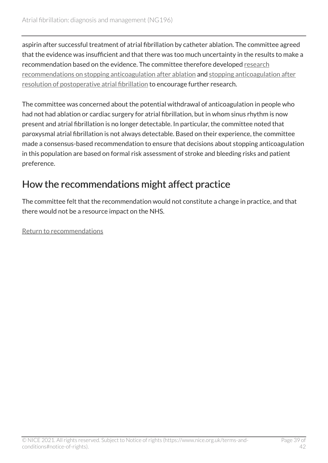aspirin after successful treatment of atrial fibrillation by catheter ablation. The committee agreed that the evidence was insufficient and that there was too much uncertainty in the results to make a recommendation based on the evidence. The committee therefore developed [research](#page-24-4) [recommendations on stopping anticoagulation after ablation](#page-24-4) and [stopping anticoagulation after](#page-25-0)  [resolution of postoperative atrial fibrillation](#page-25-0) to encourage further research.

The committee was concerned about the potential withdrawal of anticoagulation in people who had not had ablation or cardiac surgery for atrial fibrillation, but in whom sinus rhythm is now present and atrial fibrillation is no longer detectable. In particular, the committee noted that paroxysmal atrial fibrillation is not always detectable. Based on their experience, the committee made a consensus-based recommendation to ensure that decisions about stopping anticoagulation in this population are based on formal risk assessment of stroke and bleeding risks and patient preference.

### How the recommendations might affect practice

The committee felt that the recommendation would not constitute a change in practice, and that there would not be a resource impact on the NHS.

[Return to recommendations](#page-23-0)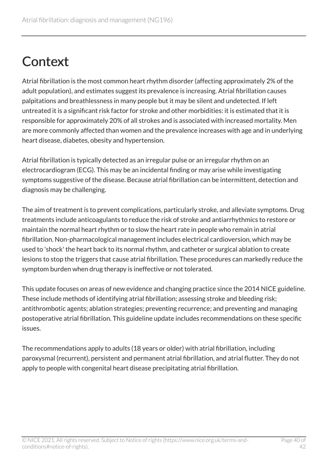# <span id="page-39-0"></span>**Context**

Atrial fibrillation is the most common heart rhythm disorder (affecting approximately 2% of the adult population), and estimates suggest its prevalence is increasing. Atrial fibrillation causes palpitations and breathlessness in many people but it may be silent and undetected. If left untreated it is a significant risk factor for stroke and other morbidities: it is estimated that it is responsible for approximately 20% of all strokes and is associated with increased mortality. Men are more commonly affected than women and the prevalence increases with age and in underlying heart disease, diabetes, obesity and hypertension.

Atrial fibrillation is typically detected as an irregular pulse or an irregular rhythm on an electrocardiogram (ECG). This may be an incidental finding or may arise while investigating symptoms suggestive of the disease. Because atrial fibrillation can be intermittent, detection and diagnosis may be challenging.

The aim of treatment is to prevent complications, particularly stroke, and alleviate symptoms. Drug treatments include anticoagulants to reduce the risk of stroke and antiarrhythmics to restore or maintain the normal heart rhythm or to slow the heart rate in people who remain in atrial fibrillation. Non-pharmacological management includes electrical cardioversion, which may be used to 'shock' the heart back to its normal rhythm, and catheter or surgical ablation to create lesions to stop the triggers that cause atrial fibrillation. These procedures can markedly reduce the symptom burden when drug therapy is ineffective or not tolerated.

This update focuses on areas of new evidence and changing practice since the 2014 NICE guideline. These include methods of identifying atrial fibrillation; assessing stroke and bleeding risk; antithrombotic agents; ablation strategies; preventing recurrence; and preventing and managing postoperative atrial fibrillation. This guideline update includes recommendations on these specific issues.

The recommendations apply to adults (18 years or older) with atrial fibrillation, including paroxysmal (recurrent), persistent and permanent atrial fibrillation, and atrial flutter. They do not apply to people with congenital heart disease precipitating atrial fibrillation.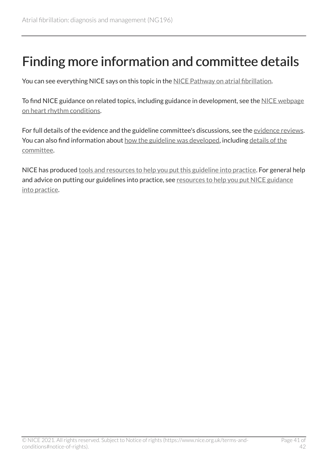# <span id="page-40-0"></span>Finding more information and committee details

You can see everything NICE says on this topic in the [NICE Pathway on atrial fibrillation.](https://pathways.nice.org.uk/pathways/atrial-fibrillation)

To find NICE guidance on related topics, including guidance in development, see the [NICE webpage](https://www.nice.org.uk/guidance/conditions-and-diseases/cardiovascular-conditions/heart-rhythm-conditions) [on heart rhythm conditions.](https://www.nice.org.uk/guidance/conditions-and-diseases/cardiovascular-conditions/heart-rhythm-conditions)

For full details of the evidence and the guideline committee's discussions, see the [evidence reviews.](https://www.nice.org.uk/Guidance/NG196/evidence) You can also find information about [how the guideline was developed](https://www.nice.org.uk/Guidance/NG196/documents), including details of the [committee.](https://www.nice.org.uk/guidance/ng196/documents/committee-member-list-3)

NICE has produced [tools and resources to help you put this guideline into practice.](https://www.nice.org.uk/guidance/ng196/resources) For general help and advice on putting our guidelines into practice, see [resources to help you put NICE guidance](https://www.nice.org.uk/about/what-we-do/into-practice/resources-help-put-guidance-into-practice) [into practice.](https://www.nice.org.uk/about/what-we-do/into-practice/resources-help-put-guidance-into-practice)